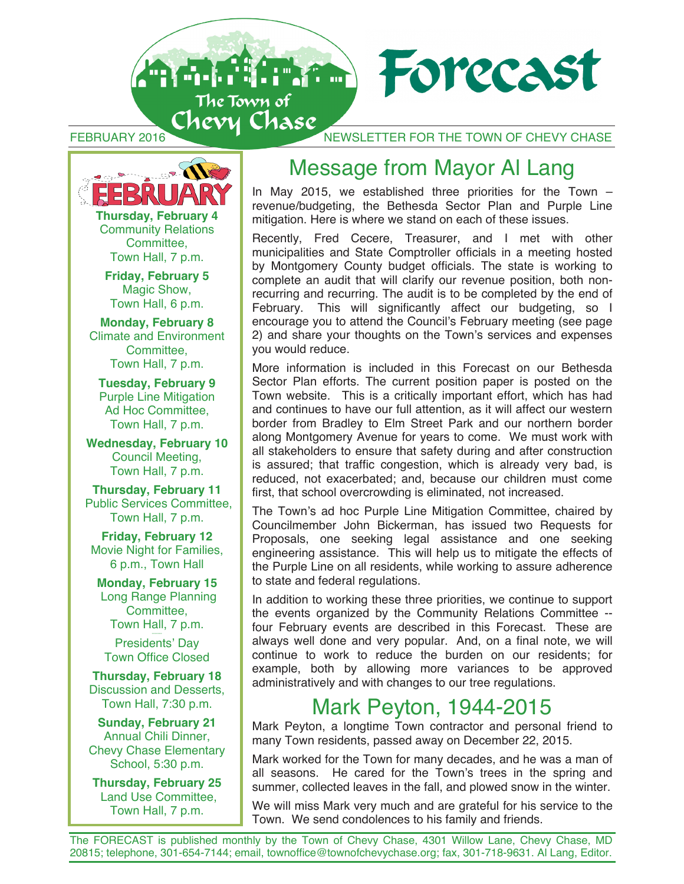



**Thursday, February 4** Community Relations Committee, Town Hall, 7 p.m.

**Friday, February 5**  Magic Show, Town Hall, 6 p.m.

**Monday, February 8**  Climate and Environment Committee, Town Hall, 7 p.m.

**Tuesday, February 9**  Purple Line Mitigation Ad Hoc Committee, Town Hall, 7 p.m.

**Wednesday, February 10** Council Meeting, Town Hall, 7 p.m.

**Thursday, February 11**  Public Services Committee, Town Hall, 7 p.m.

**Friday, February 12**  Movie Night for Families, 6 p.m., Town Hall

**Monday, February 15**  Long Range Planning Committee, Town Hall, 7 p.m.

Presidents' Day Town Office Closed

**Thursday, February 18**  Discussion and Desserts, Town Hall, 7:30 p.m.

**Sunday, February 21**  Annual Chili Dinner, Chevy Chase Elementary School, 5:30 p.m.

**Thursday, February 25**  Land Use Committee, Town Hall, 7 p.m.

### Message from Mayor Al Lang

In May 2015, we established three priorities for the Town – revenue/budgeting, the Bethesda Sector Plan and Purple Line mitigation. Here is where we stand on each of these issues.

Recently, Fred Cecere, Treasurer, and I met with other municipalities and State Comptroller officials in a meeting hosted by Montgomery County budget officials. The state is working to complete an audit that will clarify our revenue position, both nonrecurring and recurring. The audit is to be completed by the end of February. This will significantly affect our budgeting, so I encourage you to attend the Council's February meeting (see page 2) and share your thoughts on the Town's services and expenses you would reduce.

More information is included in this Forecast on our Bethesda Sector Plan efforts. The current position paper is posted on the Town website. This is a critically important effort, which has had and continues to have our full attention, as it will affect our western border from Bradley to Elm Street Park and our northern border along Montgomery Avenue for years to come. We must work with all stakeholders to ensure that safety during and after construction is assured; that traffic congestion, which is already very bad, is reduced, not exacerbated; and, because our children must come first, that school overcrowding is eliminated, not increased.

The Town's ad hoc Purple Line Mitigation Committee, chaired by Councilmember John Bickerman, has issued two Requests for Proposals, one seeking legal assistance and one seeking engineering assistance. This will help us to mitigate the effects of the Purple Line on all residents, while working to assure adherence to state and federal regulations.

In addition to working these three priorities, we continue to support the events organized by the Community Relations Committee - four February events are described in this Forecast. These are always well done and very popular. And, on a final note, we will continue to work to reduce the burden on our residents; for example, both by allowing more variances to be approved administratively and with changes to our tree regulations.

### Mark Peyton, 1944-2015

Mark Peyton, a longtime Town contractor and personal friend to many Town residents, passed away on December 22, 2015.

Mark worked for the Town for many decades, and he was a man of all seasons. He cared for the Town's trees in the spring and summer, collected leaves in the fall, and plowed snow in the winter.

We will miss Mark very much and are grateful for his service to the Town. We send condolences to his family and friends.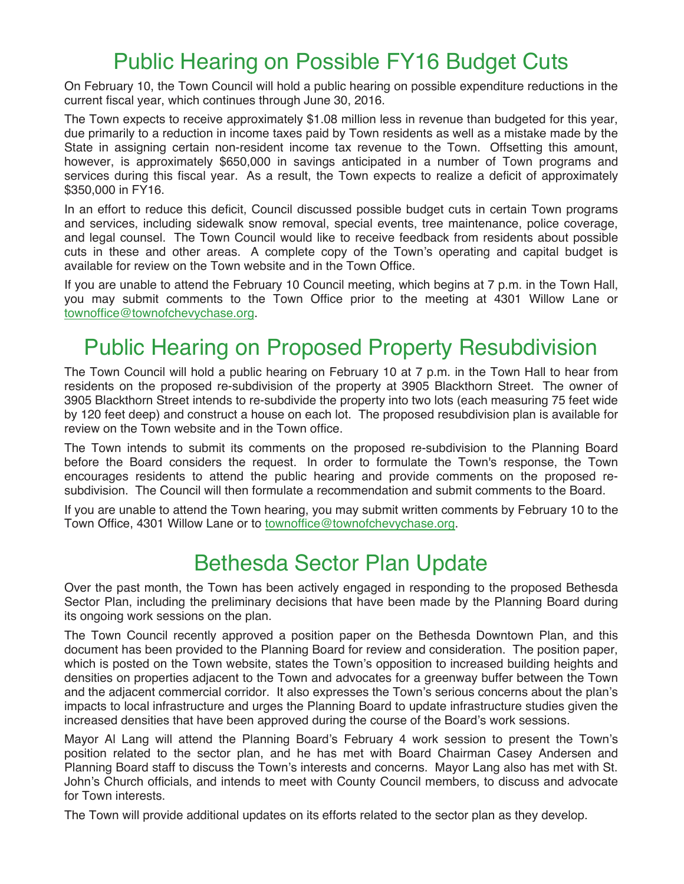### Public Hearing on Possible FY16 Budget Cuts

On February 10, the Town Council will hold a public hearing on possible expenditure reductions in the current fiscal year, which continues through June 30, 2016.

The Town expects to receive approximately \$1.08 million less in revenue than budgeted for this year, due primarily to a reduction in income taxes paid by Town residents as well as a mistake made by the State in assigning certain non-resident income tax revenue to the Town. Offsetting this amount, however, is approximately \$650,000 in savings anticipated in a number of Town programs and services during this fiscal year. As a result, the Town expects to realize a deficit of approximately \$350,000 in FY16.

In an effort to reduce this deficit, Council discussed possible budget cuts in certain Town programs and services, including sidewalk snow removal, special events, tree maintenance, police coverage, and legal counsel. The Town Council would like to receive feedback from residents about possible cuts in these and other areas. A complete copy of the Town's operating and capital budget is available for review on the Town website and in the Town Office.

If you are unable to attend the February 10 Council meeting, which begins at 7 p.m. in the Town Hall, you may submit comments to the Town Office prior to the meeting at 4301 Willow Lane or townoffice@townofchevychase.org.

### Public Hearing on Proposed Property Resubdivision

The Town Council will hold a public hearing on February 10 at 7 p.m. in the Town Hall to hear from residents on the proposed re-subdivision of the property at 3905 Blackthorn Street. The owner of 3905 Blackthorn Street intends to re-subdivide the property into two lots (each measuring 75 feet wide by 120 feet deep) and construct a house on each lot. The proposed resubdivision plan is available for review on the Town website and in the Town office.

The Town intends to submit its comments on the proposed re-subdivision to the Planning Board before the Board considers the request. In order to formulate the Town's response, the Town encourages residents to attend the public hearing and provide comments on the proposed resubdivision. The Council will then formulate a recommendation and submit comments to the Board.

If you are unable to attend the Town hearing, you may submit written comments by February 10 to the Town Office, 4301 Willow Lane or to townoffice@townofchevychase.org.

### Bethesda Sector Plan Update

Over the past month, the Town has been actively engaged in responding to the proposed Bethesda Sector Plan, including the preliminary decisions that have been made by the Planning Board during its ongoing work sessions on the plan.

The Town Council recently approved a position paper on the Bethesda Downtown Plan, and this document has been provided to the Planning Board for review and consideration. The position paper, which is posted on the Town website, states the Town's opposition to increased building heights and densities on properties adjacent to the Town and advocates for a greenway buffer between the Town and the adjacent commercial corridor. It also expresses the Town's serious concerns about the plan's impacts to local infrastructure and urges the Planning Board to update infrastructure studies given the increased densities that have been approved during the course of the Board's work sessions.

Mayor Al Lang will attend the Planning Board's February 4 work session to present the Town's position related to the sector plan, and he has met with Board Chairman Casey Andersen and Planning Board staff to discuss the Town's interests and concerns. Mayor Lang also has met with St. John's Church officials, and intends to meet with County Council members, to discuss and advocate for Town interests.

The Town will provide additional updates on its efforts related to the sector plan as they develop.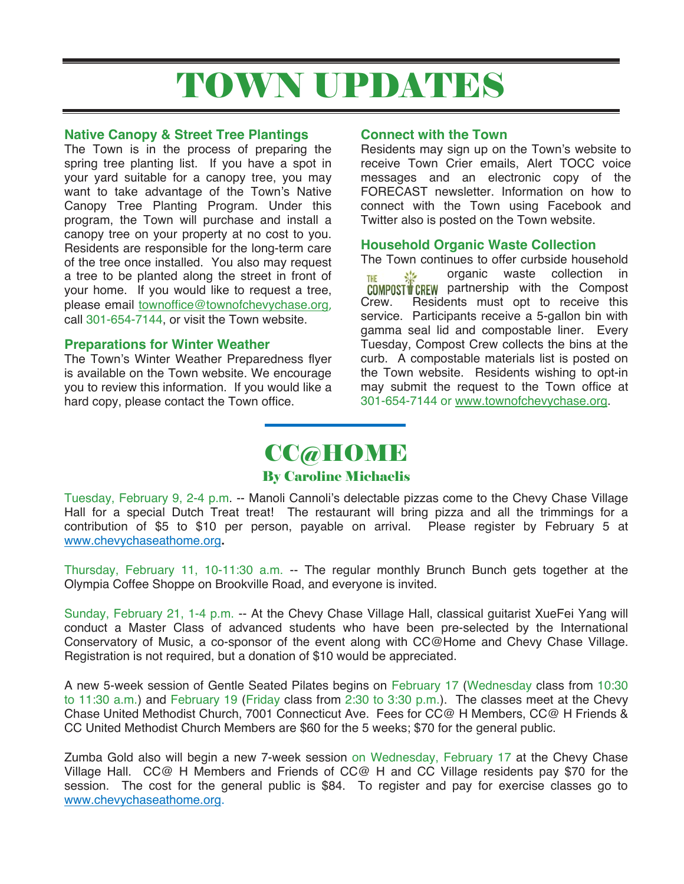# TOWN UPDATES

#### **Native Canopy & Street Tree Plantings**

The Town is in the process of preparing the spring tree planting list. If you have a spot in your yard suitable for a canopy tree, you may want to take advantage of the Town's Native Canopy Tree Planting Program. Under this program, the Town will purchase and install a canopy tree on your property at no cost to you. Residents are responsible for the long-term care of the tree once installed. You also may request a tree to be planted along the street in front of your home. If you would like to request a tree, please email townoffice@townofchevychase.org, call 301-654-7144, or visit the Town website.

#### **Preparations for Winter Weather**

The Town's Winter Weather Preparedness flyer is available on the Town website. We encourage you to review this information. If you would like a hard copy, please contact the Town office.

#### **Connect with the Town**

Residents may sign up on the Town's website to receive Town Crier emails, Alert TOCC voice messages and an electronic copy of the FORECAST newsletter. Information on how to connect with the Town using Facebook and Twitter also is posted on the Town website.

#### **Household Organic Waste Collection**

The Town continues to offer curbside household organic waste collection in **THE COMPOST CREW** partnership with the Compost Crew. Residents must opt to receive this service. Participants receive a 5-gallon bin with gamma seal lid and compostable liner. Every Tuesday, Compost Crew collects the bins at the curb. A compostable materials list is posted on the Town website. Residents wishing to opt-in may submit the request to the Town office at 301-654-7144 or www.townofchevychase.org.

## CC@HOME

#### By Caroline Michaelis

Tuesday, February 9, 2-4 p.m. -- Manoli Cannoli's delectable pizzas come to the Chevy Chase Village Hall for a special Dutch Treat treat! The restaurant will bring pizza and all the trimmings for a contribution of \$5 to \$10 per person, payable on arrival. Please register by February 5 at www.chevychaseathome.org**.**

Thursday, February 11, 10-11:30 a.m. -- The regular monthly Brunch Bunch gets together at the Olympia Coffee Shoppe on Brookville Road, and everyone is invited.

Sunday, February 21, 1-4 p.m. -- At the Chevy Chase Village Hall, classical guitarist XueFei Yang will conduct a Master Class of advanced students who have been pre-selected by the International Conservatory of Music, a co-sponsor of the event along with CC@Home and Chevy Chase Village. Registration is not required, but a donation of \$10 would be appreciated.

A new 5-week session of Gentle Seated Pilates begins on February 17 (Wednesday class from 10:30 to 11:30 a.m.) and February 19 (Friday class from 2:30 to 3:30 p.m.). The classes meet at the Chevy Chase United Methodist Church, 7001 Connecticut Ave. Fees for CC@ H Members, CC@ H Friends & CC United Methodist Church Members are \$60 for the 5 weeks; \$70 for the general public.

Zumba Gold also will begin a new 7-week session on Wednesday, February 17 at the Chevy Chase Village Hall. CC@ H Members and Friends of CC@ H and CC Village residents pay \$70 for the session. The cost for the general public is \$84. To register and pay for exercise classes go to www.chevychaseathome.org.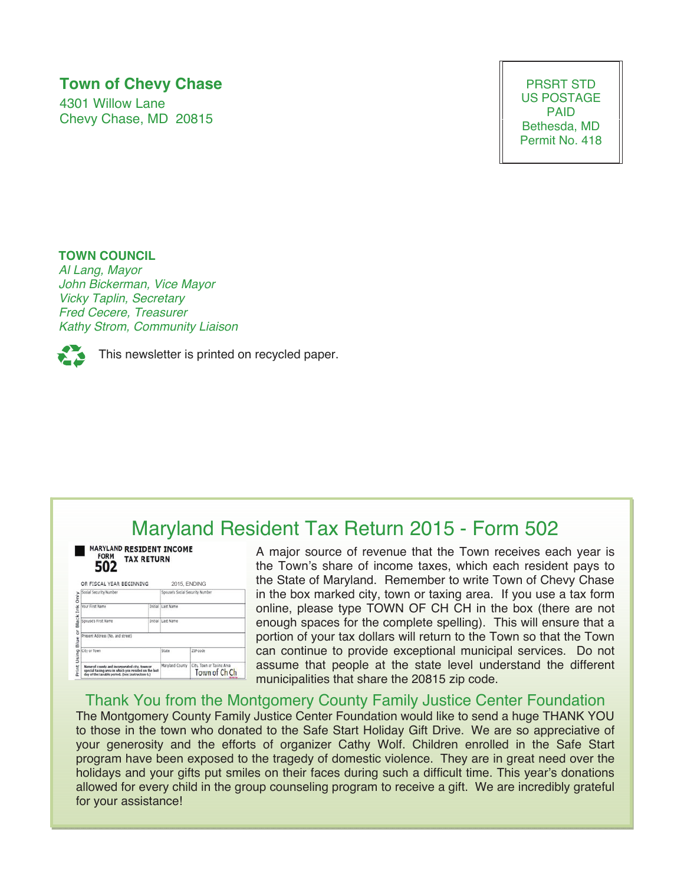### **Town of Chevy Chase**

4301 Willow Lane Chevy Chase, MD 20815

PRSRT STD US POSTAGE PAID Bethesda, MD Permit No. 418

#### **TOWN COUNCIL**

*Al Lang, Mayor John Bickerman, Vice Mayor Vicky Taplin, Secretary Fred Cecere, Treasurer Kathy Strom, Community Liaison* 



This newsletter is printed on recycled paper.

### Maryland Resident Tax Return 2015 - Form 502

| <b>MARYLAND RESIDENT INCOME</b><br><b>FORM</b><br><b>TAX RETURN</b><br>502                                                                               |         |                                 |                                            |
|----------------------------------------------------------------------------------------------------------------------------------------------------------|---------|---------------------------------|--------------------------------------------|
| OR FISCAL YEAR BEGINNING                                                                                                                                 |         | 2015, ENDING                    |                                            |
| Social Security Number                                                                                                                                   |         | Spouse's Social Security Number |                                            |
| Vour First Name                                                                                                                                          | Initial | Last Name                       |                                            |
| Spouse's First Name                                                                                                                                      | Initial | Last Name                       |                                            |
| Present Address (No. and street)                                                                                                                         |         |                                 |                                            |
| City or Town                                                                                                                                             |         | State                           | ZIP code                                   |
| Name of county and incorporated city, town or<br>special taxing area in which you resided on the last<br>day of the taxable period. (See Instruction 6.) |         | Maryland County                 | City, Town or Taxing Area<br>Town of Ch Ch |

A major source of revenue that the Town receives each year is the Town's share of income taxes, which each resident pays to the State of Maryland. Remember to write Town of Chevy Chase in the box marked city, town or taxing area. If you use a tax form online, please type TOWN OF CH CH in the box (there are not enough spaces for the complete spelling). This will ensure that a portion of your tax dollars will return to the Town so that the Town can continue to provide exceptional municipal services. Do not assume that people at the state level understand the different municipalities that share the 20815 zip code.

#### Thank You from the Montgomery County Family Justice Center Foundation

The Montgomery County Family Justice Center Foundation would like to send a huge THANK YOU to those in the town who donated to the Safe Start Holiday Gift Drive. We are so appreciative of your generosity and the efforts of organizer Cathy Wolf. Children enrolled in the Safe Start program have been exposed to the tragedy of domestic violence. They are in great need over the holidays and your gifts put smiles on their faces during such a difficult time. This year's donations allowed for every child in the group counseling program to receive a gift. We are incredibly grateful for your assistance!